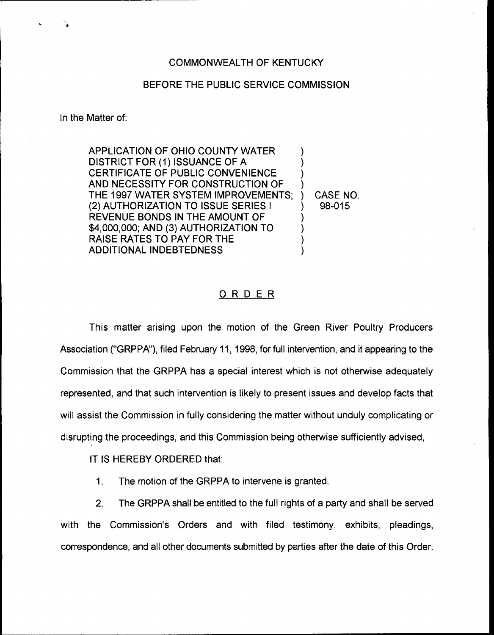## COMMONWEALTH OF KENTUCKY

## BEFORE THE PUBLIC SERVICE COMMISSION

In the Matter of:

APPLICATION OF OHIO COUNTY WATER DISTRICT FOR (1) ISSUANCE OF A CERTIFICATE OF PUBLIC CONVENIENCE AND NECESSITY FOR CONSTRUCTION OF THE 1997 WATER SYSTEM IMPROVEMENTS; (2) AUTHORIZATION TO ISSUE SERIES <sup>I</sup> REVENUE BONDS IN THE AMOUNT OF \$4,000,000; AND (3) AUTHORIZATION TO RAISE RATES TO PAY FOR THE ADDITIONAL INDEBTEDNESS ) ) ) ) ) ) ) )

) CASE NO. ) 98-015

## ORDER

This matter arising upon the motion of the Green River Poultry Producers Association ("GRPPA"), filed February 11, 1998, for full intervention, and it appearing to the Commission that the GRPPA has a special interest which is not otherwise adequately represented, and that such intervention is likely to present issues and develop facts that will assist the Commission in fully considering the matter without unduly complicating or disrupting the proceedings, and this Commission being otherwise sufficiently advised,

IT IS HEREBY ORDERED that:

1. The motion of the GRPPA to intervene is granted.

2. The GRPPA shall be entitled to the full rights of a party and shall be served with the Commission's Orders and with filed testimony, exhibits, pleadings, correspondence, and all other documents submitted by parties after the date of this Order.